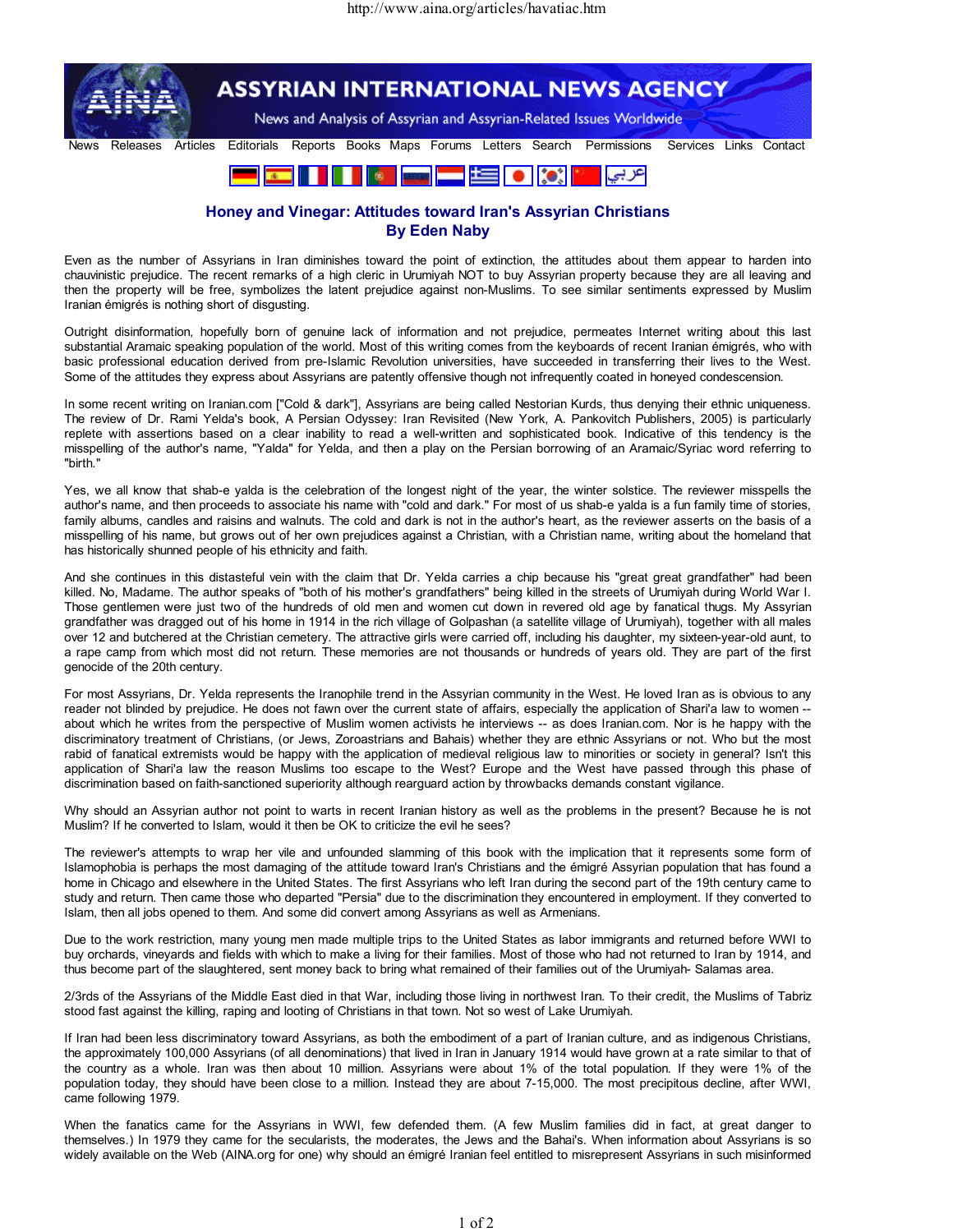

## Honey and Vinegar: Attitudes toward Iran's Assyrian Christians By Eden Naby

Even as the number of Assyrians in Iran diminishes toward the point of extinction, the attitudes about them appear to harden into chauvinistic prejudice. The recent remarks of a high cleric in Urumiyah NOT to buy Assyrian property because they are all leaving and then the property will be free, symbolizes the latent prejudice against non-Muslims. To see similar sentiments expressed by Muslim Iranian émigrés is nothing short of disgusting.

Outright disinformation, hopefully born of genuine lack of information and not prejudice, permeates Internet writing about this last substantial Aramaic speaking population of the world. Most of this writing comes from the keyboards of recent Iranian émigrés, who with basic professional education derived from pre-Islamic Revolution universities, have succeeded in transferring their lives to the West. Some of the attitudes they express about Assyrians are patently offensive though not infrequently coated in honeyed condescension.

In some recent writing on Iranian.com ["Cold & dark"], Assyrians are being called Nestorian Kurds, thus denying their ethnic uniqueness. The review of Dr. Rami Yelda's book, A Persian Odyssey: Iran Revisited (New York, A. Pankovitch Publishers, 2005) is particularly replete with assertions based on a clear inability to read a well-written and sophisticated book. Indicative of this tendency is the misspelling of the author's name, "Yalda" for Yelda, and then a play on the Persian borrowing of an Aramaic/Syriac word referring to "birth."

Yes, we all know that shab-e yalda is the celebration of the longest night of the year, the winter solstice. The reviewer misspells the author's name, and then proceeds to associate his name with "cold and dark." For most of us shab-e yalda is a fun family time of stories, family albums, candles and raisins and walnuts. The cold and dark is not in the author's heart, as the reviewer asserts on the basis of a misspelling of his name, but grows out of her own prejudices against a Christian, with a Christian name, writing about the homeland that has historically shunned people of his ethnicity and faith.

And she continues in this distasteful vein with the claim that Dr. Yelda carries a chip because his "great great grandfather" had been killed. No, Madame. The author speaks of "both of his mother's grandfathers" being killed in the streets of Urumiyah during World War I. Those gentlemen were just two of the hundreds of old men and women cut down in revered old age by fanatical thugs. My Assyrian grandfather was dragged out of his home in 1914 in the rich village of Golpashan (a satellite village of Urumiyah), together with all males over 12 and butchered at the Christian cemetery. The attractive girls were carried off, including his daughter, my sixteen-year-old aunt, to a rape camp from which most did not return. These memories are not thousands or hundreds of years old. They are part of the first genocide of the 20th century.

For most Assyrians, Dr. Yelda represents the Iranophile trend in the Assyrian community in the West. He loved Iran as is obvious to any reader not blinded by prejudice. He does not fawn over the current state of affairs, especially the application of Shari'a law to women - about which he writes from the perspective of Muslim women activists he interviews -- as does Iranian.com. Nor is he happy with the discriminatory treatment of Christians, (or Jews, Zoroastrians and Bahais) whether they are ethnic Assyrians or not. Who but the most rabid of fanatical extremists would be happy with the application of medieval religious law to minorities or society in general? Isn't this application of Shari'a law the reason Muslims too escape to the West? Europe and the West have passed through this phase of discrimination based on faith-sanctioned superiority although rearguard action by throwbacks demands constant vigilance.

Why should an Assyrian author not point to warts in recent Iranian history as well as the problems in the present? Because he is not Muslim? If he converted to Islam, would it then be OK to criticize the evil he sees?

The reviewer's attempts to wrap her vile and unfounded slamming of this book with the implication that it represents some form of Islamophobia is perhaps the most damaging of the attitude toward Iran's Christians and the émigré Assyrian population that has found a home in Chicago and elsewhere in the United States. The first Assyrians who left Iran during the second part of the 19th century came to study and return. Then came those who departed "Persia" due to the discrimination they encountered in employment. If they converted to Islam, then all jobs opened to them. And some did convert among Assyrians as well as Armenians.

Due to the work restriction, many young men made multiple trips to the United States as labor immigrants and returned before WWI to buy orchards, vineyards and fields with which to make a living for their families. Most of those who had not returned to Iran by 1914, and thus become part of the slaughtered, sent money back to bring what remained of their families out of the Urumiyah- Salamas area.

2/3rds of the Assyrians of the Middle East died in that War, including those living in northwest Iran. To their credit, the Muslims of Tabriz stood fast against the killing, raping and looting of Christians in that town. Not so west of Lake Urumiyah.

If Iran had been less discriminatory toward Assyrians, as both the embodiment of a part of Iranian culture, and as indigenous Christians, the approximately 100,000 Assyrians (of all denominations) that lived in Iran in January 1914 would have grown at a rate similar to that of the country as a whole. Iran was then about 10 million. Assyrians were about 1% of the total population. If they were 1% of the population today, they should have been close to a million. Instead they are about 7-15,000. The most precipitous decline, after WWI, came following 1979.

When the fanatics came for the Assyrians in WWI, few defended them. (A few Muslim families did in fact, at great danger to themselves.) In 1979 they came for the secularists, the moderates, the Jews and the Bahai's. When information about Assyrians is so widely available on the Web (AINA.org for one) why should an émigré Iranian feel entitled to misrepresent Assyrians in such misinformed